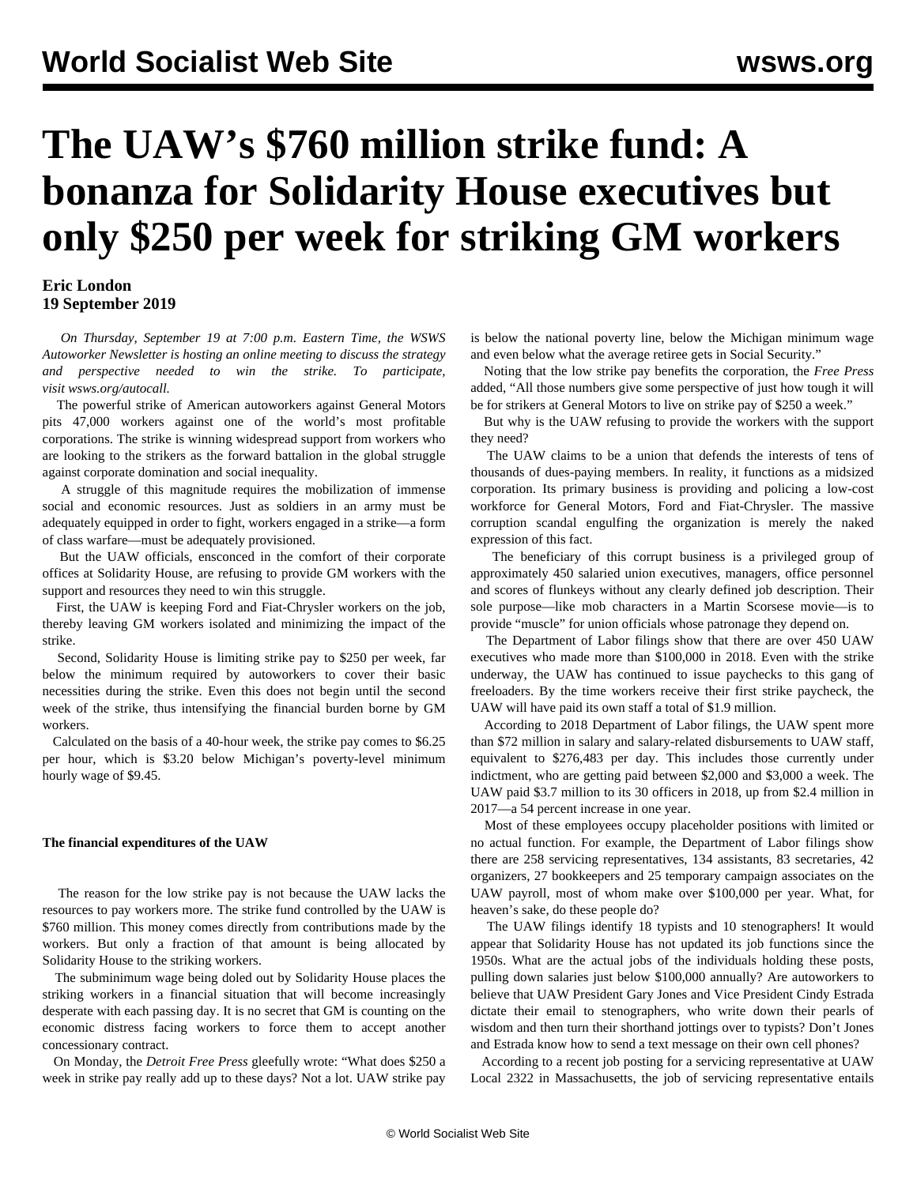# **The UAW's \$760 million strike fund: A bonanza for Solidarity House executives but only \$250 per week for striking GM workers**

## **Eric London 19 September 2019**

 *On Thursday, September 19 at 7:00 p.m. Eastern Time, the WSWS Autoworker Newsletter is hosting an online meeting to discuss the strategy and perspective needed to win the strike. To participate, visit [wsws.org/autocall](/autocall).*

 The powerful strike of American autoworkers against General Motors pits 47,000 workers against one of the world's most profitable corporations. The strike is winning widespread support from workers who are looking to the strikers as the forward battalion in the global struggle against corporate domination and social inequality.

 A struggle of this magnitude requires the mobilization of immense social and economic resources. Just as soldiers in an army must be adequately equipped in order to fight, workers engaged in a strike—a form of class warfare—must be adequately provisioned.

 But the UAW officials, ensconced in the comfort of their corporate offices at Solidarity House, are refusing to provide GM workers with the support and resources they need to win this struggle.

 First, the UAW is keeping Ford and Fiat-Chrysler workers on the job, thereby leaving GM workers isolated and minimizing the impact of the strike.

 Second, Solidarity House is limiting strike pay to \$250 per week, far below the minimum required by autoworkers to cover their basic necessities during the strike. Even this does not begin until the second week of the strike, thus intensifying the financial burden borne by GM workers.

 Calculated on the basis of a 40-hour week, the strike pay comes to \$6.25 per hour, which is \$3.20 below Michigan's poverty-level minimum hourly wage of \$9.45.

#### **The financial expenditures of the UAW**

 The reason for the low strike pay is not because the UAW lacks the resources to pay workers more. The strike fund controlled by the UAW is \$760 million. This money comes directly from contributions made by the workers. But only a fraction of that amount is being allocated by Solidarity House to the striking workers.

 The subminimum wage being doled out by Solidarity House places the striking workers in a financial situation that will become increasingly desperate with each passing day. It is no secret that GM is counting on the economic distress facing workers to force them to accept another concessionary contract.

 On Monday, the *Detroit Free Press* gleefully wrote: "What does \$250 a week in strike pay really add up to these days? Not a lot. UAW strike pay

is below the national poverty line, below the Michigan minimum wage and even below what the average retiree gets in Social Security."

 Noting that the low strike pay benefits the corporation, the *Free Press* added, "All those numbers give some perspective of just how tough it will be for strikers at General Motors to live on strike pay of \$250 a week."

 But why is the UAW refusing to provide the workers with the support they need?

 The UAW claims to be a union that defends the interests of tens of thousands of dues-paying members. In reality, it functions as a midsized corporation. Its primary business is providing and policing a low-cost workforce for General Motors, Ford and Fiat-Chrysler. The massive corruption scandal engulfing the organization is merely the naked expression of this fact.

 The beneficiary of this corrupt business is a privileged group of approximately 450 salaried union executives, managers, office personnel and scores of flunkeys without any clearly defined job description. Their sole purpose—like mob characters in a Martin Scorsese movie—is to provide "muscle" for union officials whose patronage they depend on.

 The Department of Labor filings show that there are over 450 UAW executives who made more than \$100,000 in 2018. Even with the strike underway, the UAW has continued to issue paychecks to this gang of freeloaders. By the time workers receive their first strike paycheck, the UAW will have paid its own staff a total of \$1.9 million.

 According to 2018 Department of Labor filings, the UAW spent more than \$72 million in salary and salary-related disbursements to UAW staff, equivalent to \$276,483 per day. This includes those currently under indictment, who are getting paid between \$2,000 and \$3,000 a week. The UAW paid \$3.7 million to its 30 officers in 2018, up from \$2.4 million in 2017—a 54 percent increase in one year.

 Most of these employees occupy placeholder positions with limited or no actual function. For example, the Department of Labor filings show there are 258 servicing representatives, 134 assistants, 83 secretaries, 42 organizers, 27 bookkeepers and 25 temporary campaign associates on the UAW payroll, most of whom make over \$100,000 per year. What, for heaven's sake, do these people do?

 The UAW filings identify 18 typists and 10 stenographers! It would appear that Solidarity House has not updated its job functions since the 1950s. What are the actual jobs of the individuals holding these posts, pulling down salaries just below \$100,000 annually? Are autoworkers to believe that UAW President Gary Jones and Vice President Cindy Estrada dictate their email to stenographers, who write down their pearls of wisdom and then turn their shorthand jottings over to typists? Don't Jones and Estrada know how to send a text message on their own cell phones?

 According to a recent job posting for a servicing representative at UAW Local 2322 in Massachusetts, the job of servicing representative entails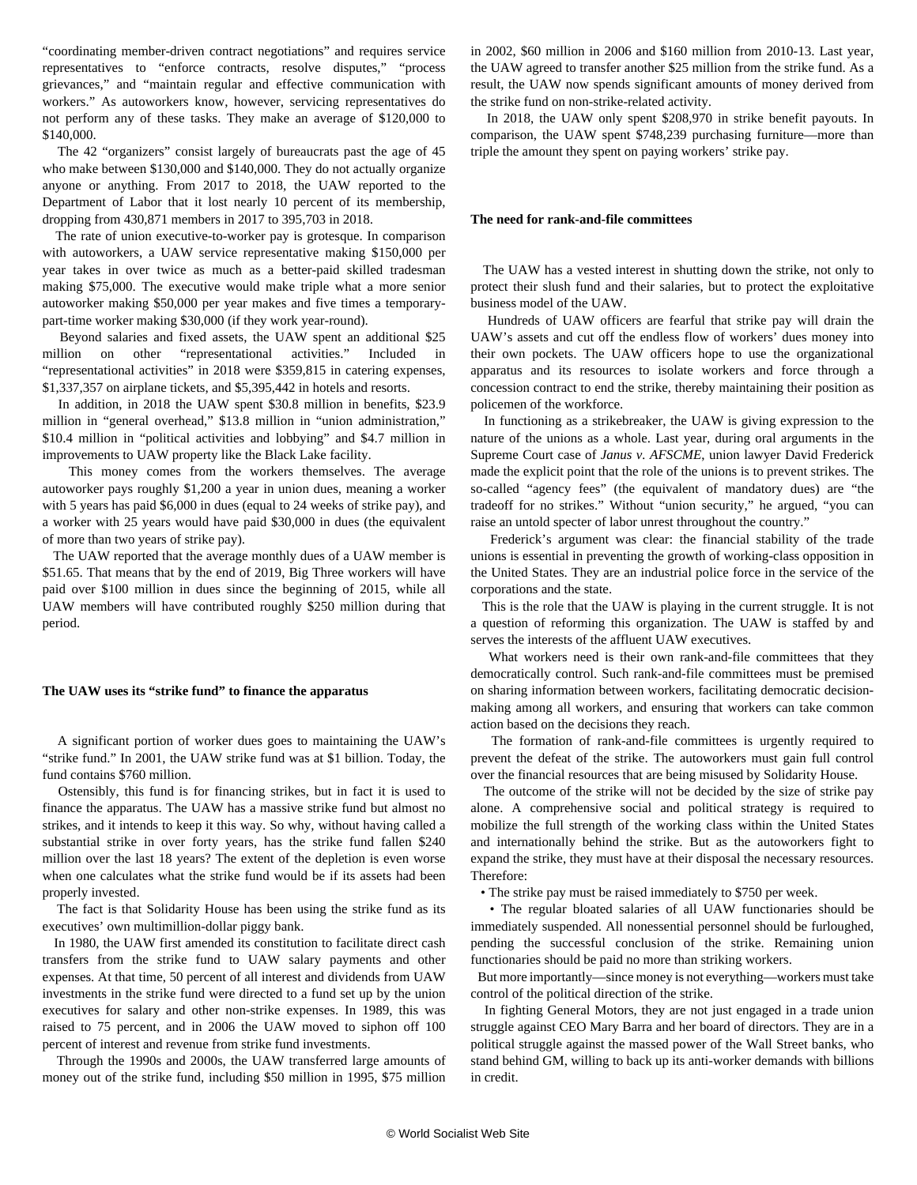"coordinating member-driven contract negotiations" and requires service representatives to "enforce contracts, resolve disputes," "process grievances," and "maintain regular and effective communication with workers." As autoworkers know, however, servicing representatives do not perform any of these tasks. They make an average of \$120,000 to \$140,000.

 The 42 "organizers" consist largely of bureaucrats past the age of 45 who make between \$130,000 and \$140,000. They do not actually organize anyone or anything. From 2017 to 2018, the UAW reported to the Department of Labor that it lost nearly 10 percent of its membership, dropping from 430,871 members in 2017 to 395,703 in 2018.

 The rate of union executive-to-worker pay is grotesque. In comparison with autoworkers, a UAW service representative making \$150,000 per year takes in over twice as much as a better-paid skilled tradesman making \$75,000. The executive would make triple what a more senior autoworker making \$50,000 per year makes and five times a temporarypart-time worker making \$30,000 (if they work year-round).

 Beyond salaries and fixed assets, the UAW spent an additional \$25 million on other "representational activities." Included in "representational activities" in 2018 were \$359,815 in catering expenses, \$1,337,357 on airplane tickets, and \$5,395,442 in hotels and resorts.

 In addition, in 2018 the UAW spent \$30.8 million in benefits, \$23.9 million in "general overhead," \$13.8 million in "union administration," \$10.4 million in "political activities and lobbying" and \$4.7 million in improvements to UAW property like the Black Lake facility.

 This money comes from the workers themselves. The average autoworker pays roughly \$1,200 a year in union dues, meaning a worker with 5 years has paid \$6,000 in dues (equal to 24 weeks of strike pay), and a worker with 25 years would have paid \$30,000 in dues (the equivalent of more than two years of strike pay).

 The UAW reported that the average monthly dues of a UAW member is \$51.65. That means that by the end of 2019, Big Three workers will have paid over \$100 million in dues since the beginning of 2015, while all UAW members will have contributed roughly \$250 million during that period.

### **The UAW uses its "strike fund" to finance the apparatus**

 A significant portion of worker dues goes to maintaining the UAW's "strike fund." In 2001, the UAW strike fund was at \$1 billion. Today, the fund contains \$760 million.

 Ostensibly, this fund is for financing strikes, but in fact it is used to finance the apparatus. The UAW has a massive strike fund but almost no strikes, and it intends to keep it this way. So why, without having called a substantial strike in over forty years, has the strike fund fallen \$240 million over the last 18 years? The extent of the depletion is even worse when one calculates what the strike fund would be if its assets had been properly invested.

 The fact is that Solidarity House has been using the strike fund as its executives' own multimillion-dollar piggy bank.

 In 1980, the UAW first amended its constitution to facilitate direct cash transfers from the strike fund to UAW salary payments and other expenses. At that time, 50 percent of all interest and dividends from UAW investments in the strike fund were directed to a fund set up by the union executives for salary and other non-strike expenses. In 1989, this was raised to 75 percent, and in 2006 the UAW moved to siphon off 100 percent of interest and revenue from strike fund investments.

 Through the 1990s and 2000s, the UAW transferred large amounts of money out of the strike fund, including \$50 million in 1995, \$75 million

in 2002, \$60 million in 2006 and \$160 million from 2010-13. Last year, the UAW agreed to transfer another \$25 million from the strike fund. As a result, the UAW now spends significant amounts of money derived from the strike fund on non-strike-related activity.

 In 2018, the UAW only spent \$208,970 in strike benefit payouts. In comparison, the UAW spent \$748,239 purchasing furniture—more than triple the amount they spent on paying workers' strike pay.

#### **The need for rank-and-file committees**

 The UAW has a vested interest in shutting down the strike, not only to protect their slush fund and their salaries, but to protect the exploitative business model of the UAW.

 Hundreds of UAW officers are fearful that strike pay will drain the UAW's assets and cut off the endless flow of workers' dues money into their own pockets. The UAW officers hope to use the organizational apparatus and its resources to isolate workers and force through a concession contract to end the strike, thereby maintaining their position as policemen of the workforce.

 In functioning as a strikebreaker, the UAW is giving expression to the nature of the unions as a whole. Last year, during oral arguments in the Supreme Court case of *Janus v. AFSCME*, union lawyer David Frederick made the explicit point that the role of the unions is to prevent strikes. The so-called "agency fees" (the equivalent of mandatory dues) are "the tradeoff for no strikes." Without "union security," he argued, "you can raise an untold specter of labor unrest throughout the country."

 Frederick's argument was clear: the financial stability of the trade unions is essential in preventing the growth of working-class opposition in the United States. They are an industrial police force in the service of the corporations and the state.

 This is the role that the UAW is playing in the current struggle. It is not a question of reforming this organization. The UAW is staffed by and serves the interests of the affluent UAW executives.

 What workers need is their own rank-and-file committees that they democratically control. Such rank-and-file committees must be premised on sharing information between workers, facilitating democratic decisionmaking among all workers, and ensuring that workers can take common action based on the decisions they reach.

 The formation of rank-and-file committees is urgently required to prevent the defeat of the strike. The autoworkers must gain full control over the financial resources that are being misused by Solidarity House.

 The outcome of the strike will not be decided by the size of strike pay alone. A comprehensive social and political strategy is required to mobilize the full strength of the working class within the United States and internationally behind the strike. But as the autoworkers fight to expand the strike, they must have at their disposal the necessary resources. Therefore:

• The strike pay must be raised immediately to \$750 per week.

 • The regular bloated salaries of all UAW functionaries should be immediately suspended. All nonessential personnel should be furloughed, pending the successful conclusion of the strike. Remaining union functionaries should be paid no more than striking workers.

 But more importantly—since money is not everything—workers must take control of the political direction of the strike.

 In fighting General Motors, they are not just engaged in a trade union struggle against CEO Mary Barra and her board of directors. They are in a political struggle against the massed power of the Wall Street banks, who stand behind GM, willing to back up its anti-worker demands with billions in credit.